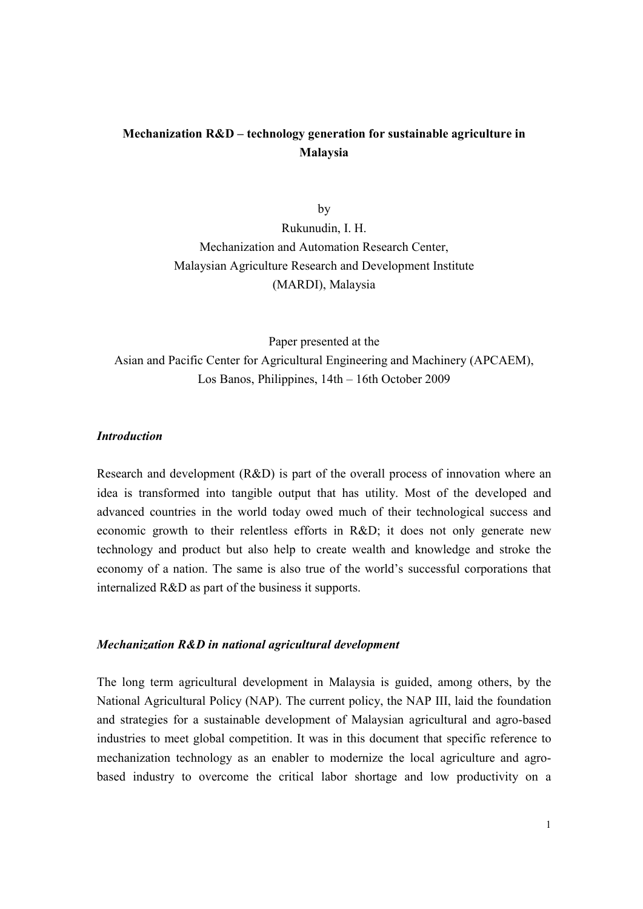# **Mechanization R&D – technology generation for sustainable agriculture in Malaysia**

by Rukunudin, I. H. Mechanization and Automation Research Center, Malaysian Agriculture Research and Development Institute (MARDI), Malaysia

Paper presented at the Asian and Pacific Center for Agricultural Engineering and Machinery (APCAEM), Los Banos, Philippines, 14th – 16th October 2009

#### *Introduction*

Research and development (R&D) is part of the overall process of innovation where an idea is transformed into tangible output that has utility. Most of the developed and advanced countries in the world today owed much of their technological success and economic growth to their relentless efforts in R&D; it does not only generate new technology and product but also help to create wealth and knowledge and stroke the economy of a nation. The same is also true of the world's successful corporations that internalized R&D as part of the business it supports.

### *Mechanization R&D in national agricultural development*

The long term agricultural development in Malaysia is guided, among others, by the National Agricultural Policy (NAP). The current policy, the NAP III, laid the foundation and strategies for a sustainable development of Malaysian agricultural and agro-based industries to meet global competition. It was in this document that specific reference to mechanization technology as an enabler to modernize the local agriculture and agrobased industry to overcome the critical labor shortage and low productivity on a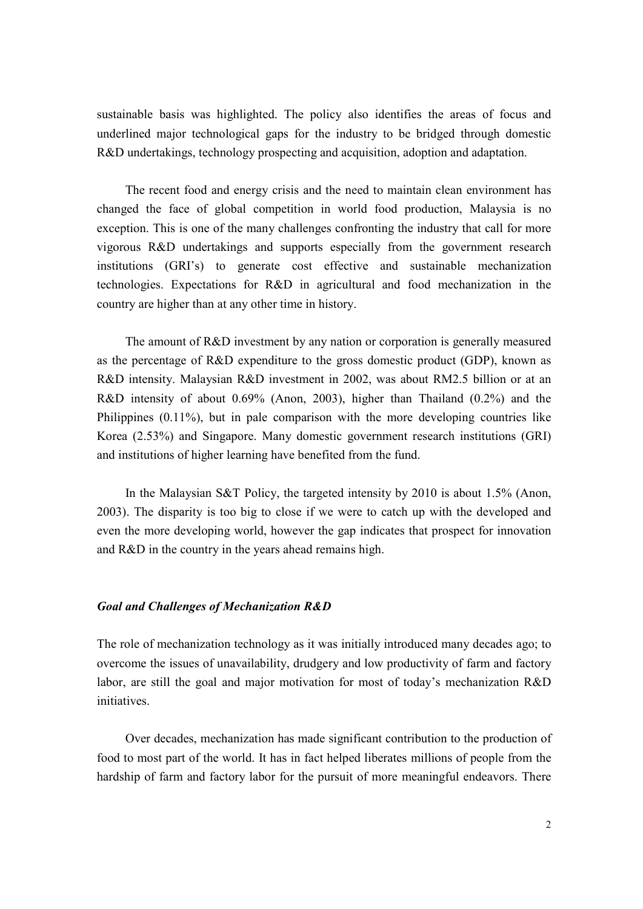sustainable basis was highlighted. The policy also identifies the areas of focus and underlined major technological gaps for the industry to be bridged through domestic R&D undertakings, technology prospecting and acquisition, adoption and adaptation.

The recent food and energy crisis and the need to maintain clean environment has changed the face of global competition in world food production, Malaysia is no exception. This is one of the many challenges confronting the industry that call for more vigorous R&D undertakings and supports especially from the government research institutions (GRI's) to generate cost effective and sustainable mechanization technologies. Expectations for R&D in agricultural and food mechanization in the country are higher than at any other time in history.

The amount of R&D investment by any nation or corporation is generally measured as the percentage of R&D expenditure to the gross domestic product (GDP), known as R&D intensity. Malaysian R&D investment in 2002, was about RM2.5 billion or at an R&D intensity of about 0.69% (Anon, 2003), higher than Thailand (0.2%) and the Philippines (0.11%), but in pale comparison with the more developing countries like Korea (2.53%) and Singapore. Many domestic government research institutions (GRI) and institutions of higher learning have benefited from the fund.

In the Malaysian S&T Policy, the targeted intensity by 2010 is about 1.5% (Anon, 2003). The disparity is too big to close if we were to catch up with the developed and even the more developing world, however the gap indicates that prospect for innovation and R&D in the country in the years ahead remains high.

#### *Goal and Challenges of Mechanization R&D*

The role of mechanization technology as it was initially introduced many decades ago; to overcome the issues of unavailability, drudgery and low productivity of farm and factory labor, are still the goal and major motivation for most of today's mechanization R&D *initiatives* 

Over decades, mechanization has made significant contribution to the production of food to most part of the world. It has in fact helped liberates millions of people from the hardship of farm and factory labor for the pursuit of more meaningful endeavors. There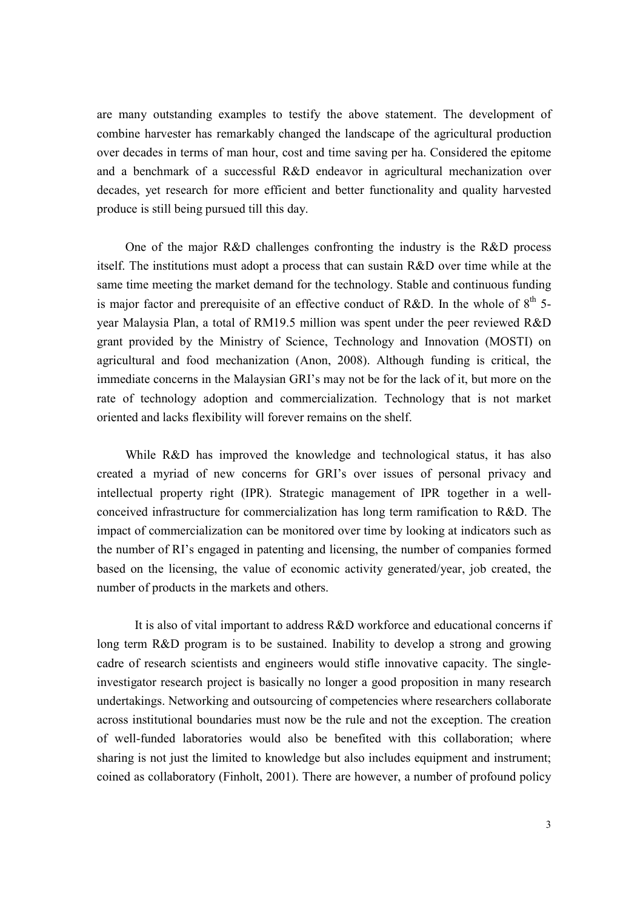are many outstanding examples to testify the above statement. The development of combine harvester has remarkably changed the landscape of the agricultural production over decades in terms of man hour, cost and time saving per ha. Considered the epitome and a benchmark of a successful R&D endeavor in agricultural mechanization over decades, yet research for more efficient and better functionality and quality harvested produce is still being pursued till this day.

One of the major R&D challenges confronting the industry is the R&D process itself. The institutions must adopt a process that can sustain R&D over time while at the same time meeting the market demand for the technology. Stable and continuous funding is major factor and prerequisite of an effective conduct of R&D. In the whole of  $8<sup>th</sup>$  5year Malaysia Plan, a total of RM19.5 million was spent under the peer reviewed R&D grant provided by the Ministry of Science, Technology and Innovation (MOSTI) on agricultural and food mechanization (Anon, 2008). Although funding is critical, the immediate concerns in the Malaysian GRI's may not be for the lack of it, but more on the rate of technology adoption and commercialization. Technology that is not market oriented and lacks flexibility will forever remains on the shelf.

While R&D has improved the knowledge and technological status, it has also created a myriad of new concerns for GRI's over issues of personal privacy and intellectual property right (IPR). Strategic management of IPR together in a wellconceived infrastructure for commercialization has long term ramification to R&D. The impact of commercialization can be monitored over time by looking at indicators such as the number of RI's engaged in patenting and licensing, the number of companies formed based on the licensing, the value of economic activity generated/year, job created, the number of products in the markets and others.

It is also of vital important to address R&D workforce and educational concerns if long term R&D program is to be sustained. Inability to develop a strong and growing cadre of research scientists and engineers would stifle innovative capacity. The singleinvestigator research project is basically no longer a good proposition in many research undertakings. Networking and outsourcing of competencies where researchers collaborate across institutional boundaries must now be the rule and not the exception. The creation of well-funded laboratories would also be benefited with this collaboration; where sharing is not just the limited to knowledge but also includes equipment and instrument; coined as collaboratory (Finholt, 2001). There are however, a number of profound policy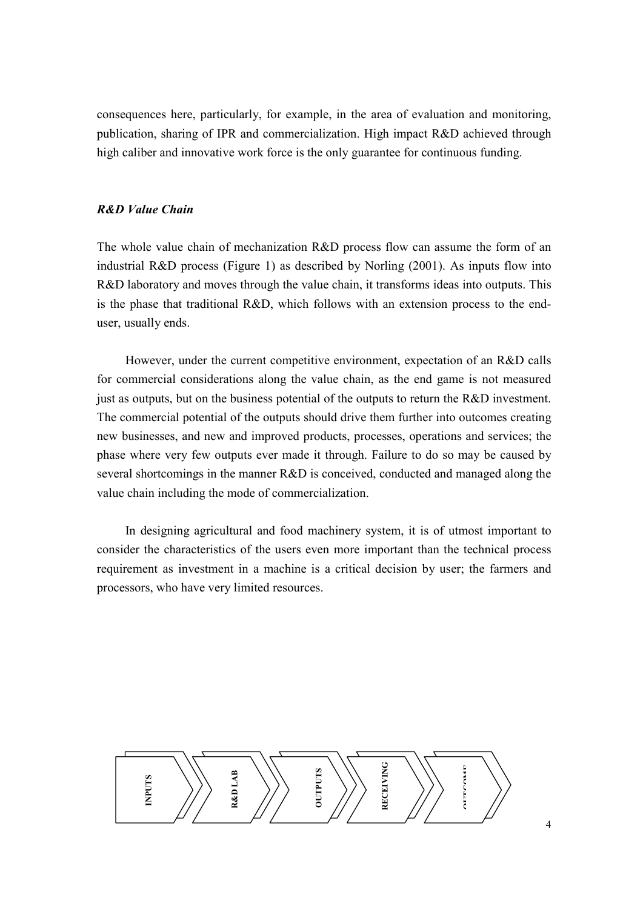consequences here, particularly, for example, in the area of evaluation and monitoring, publication, sharing of IPR and commercialization. High impact R&D achieved through high caliber and innovative work force is the only guarantee for continuous funding.

### *R&D Value Chain*

The whole value chain of mechanization R&D process flow can assume the form of an industrial R&D process (Figure 1) as described by Norling (2001). As inputs flow into R&D laboratory and moves through the value chain, it transforms ideas into outputs. This is the phase that traditional R&D, which follows with an extension process to the enduser, usually ends.

However, under the current competitive environment, expectation of an R&D calls for commercial considerations along the value chain, as the end game is not measured just as outputs, but on the business potential of the outputs to return the R&D investment. The commercial potential of the outputs should drive them further into outcomes creating new businesses, and new and improved products, processes, operations and services; the phase where very few outputs ever made it through. Failure to do so may be caused by several shortcomings in the manner R&D is conceived, conducted and managed along the value chain including the mode of commercialization.

In designing agricultural and food machinery system, it is of utmost important to consider the characteristics of the users even more important than the technical process requirement as investment in a machine is a critical decision by user; the farmers and processors, who have very limited resources.

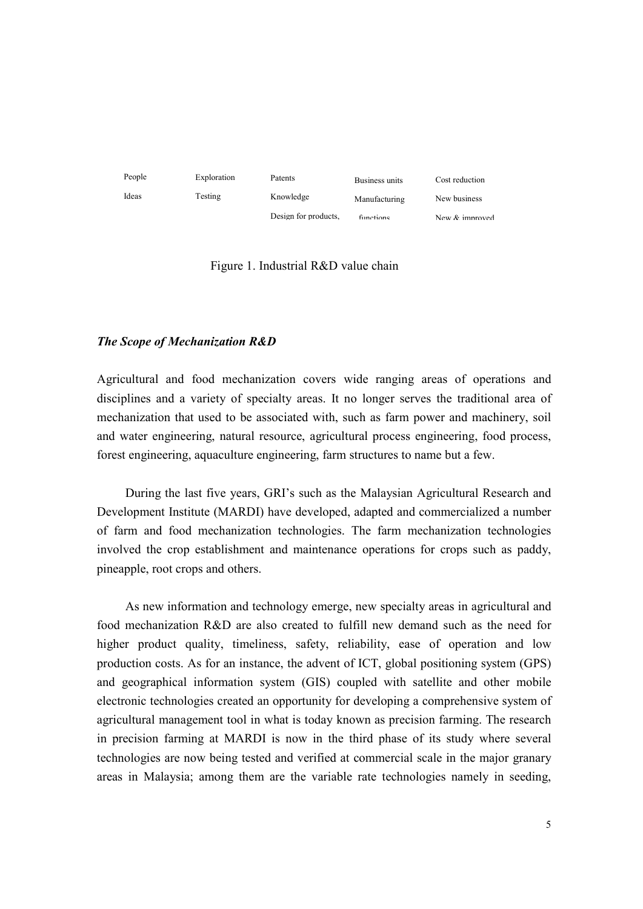

Figure 1. Industrial R&D value chain

#### *The Scope of Mechanization R&D*

Agricultural and food mechanization covers wide ranging areas of operations and disciplines and a variety of specialty areas. It no longer serves the traditional area of mechanization that used to be associated with, such as farm power and machinery, soil and water engineering, natural resource, agricultural process engineering, food process, forest engineering, aquaculture engineering, farm structures to name but a few.

During the last five years, GRI's such as the Malaysian Agricultural Research and Development Institute (MARDI) have developed, adapted and commercialized a number of farm and food mechanization technologies. The farm mechanization technologies involved the crop establishment and maintenance operations for crops such as paddy, pineapple, root crops and others.

As new information and technology emerge, new specialty areas in agricultural and food mechanization R&D are also created to fulfill new demand such as the need for higher product quality, timeliness, safety, reliability, ease of operation and low production costs. As for an instance, the advent of ICT, global positioning system (GPS) and geographical information system (GIS) coupled with satellite and other mobile electronic technologies created an opportunity for developing a comprehensive system of agricultural management tool in what is today known as precision farming. The research in precision farming at MARDI is now in the third phase of its study where several technologies are now being tested and verified at commercial scale in the major granary areas in Malaysia; among them are the variable rate technologies namely in seeding,